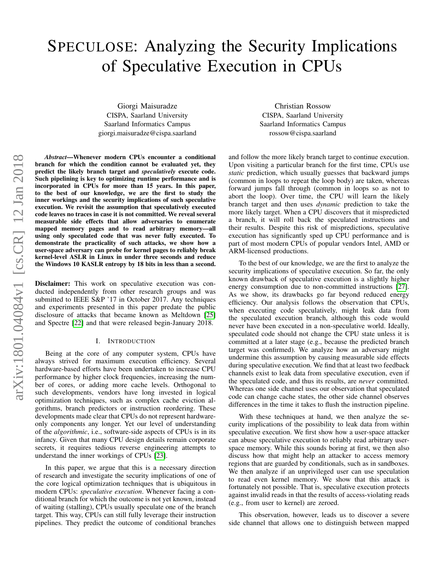# SPECULOSE: Analyzing the Security Implications of Speculative Execution in CPUs

Giorgi Maisuradze CISPA, Saarland University Saarland Informatics Campus giorgi.maisuradze@cispa.saarland

Christian Rossow CISPA, Saarland University Saarland Informatics Campus rossow@cispa.saarland

*Abstract*—Whenever modern CPUs encounter a conditional branch for which the condition cannot be evaluated yet, they predict the likely branch target and *speculatively* execute code. Such pipelining is key to optimizing runtime performance and is incorporated in CPUs for more than 15 years. In this paper, to the best of our knowledge, we are the first to study the inner workings and the security implications of such speculative execution. We revisit the assumption that speculatively executed code leaves no traces in case it is not committed. We reveal several measurable side effects that allow adversaries to enumerate mapped memory pages and to read arbitrary memory—all using only speculated code that was never fully executed. To demonstrate the practicality of such attacks, we show how a user-space adversary can probe for kernel pages to reliably break kernel-level ASLR in Linux in under three seconds and reduce the Windows 10 KASLR entropy by 18 bits in less than a second.

Disclaimer: This work on speculative execution was conducted independently from other research groups and was submitted to IEEE S&P '17 in October 2017. Any techniques and experiments presented in this paper predate the public disclosure of attacks that became known as Meltdown [\[25\]](#page-13-0) and Spectre [\[22\]](#page-13-1) and that were released begin-January 2018.

#### I. INTRODUCTION

Being at the core of any computer system, CPUs have always strived for maximum execution efficiency. Several hardware-based efforts have been undertaken to increase CPU performance by higher clock frequencies, increasing the number of cores, or adding more cache levels. Orthogonal to such developments, vendors have long invested in logical optimization techniques, such as complex cache eviction algorithms, branch predictors or instruction reordering. These developments made clear that CPUs do not represent hardwareonly components any longer. Yet our level of understanding of the *algorithmic*, i.e., software-side aspects of CPUs is in its infancy. Given that many CPU design details remain corporate secrets, it requires tedious reverse engineering attempts to understand the inner workings of CPUs [\[23\]](#page-13-2).

In this paper, we argue that this is a necessary direction of research and investigate the security implications of one of the core logical optimization techniques that is ubiquitous in modern CPUs: *speculative execution*. Whenever facing a conditional branch for which the outcome is not yet known, instead of waiting (stalling), CPUs usually speculate one of the branch target. This way, CPUs can still fully leverage their instruction pipelines. They predict the outcome of conditional branches

and follow the more likely branch target to continue execution. Upon visiting a particular branch for the first time, CPUs use *static* prediction, which usually guesses that backward jumps (common in loops to repeat the loop body) are taken, whereas forward jumps fall through (common in loops so as not to abort the loop). Over time, the CPU will learn the likely branch target and then uses *dynamic* prediction to take the more likely target. When a CPU discovers that it mispredicted a branch, it will roll back the speculated instructions and their results. Despite this risk of mispredictions, speculative execution has significantly sped up CPU performance and is part of most modern CPUs of popular vendors Intel, AMD or ARM-licensed productions.

To the best of our knowledge, we are the first to analyze the security implications of speculative execution. So far, the only known drawback of speculative execution is a slightly higher energy consumption due to non-committed instructions [\[27\]](#page-13-3). As we show, its drawbacks go far beyond reduced energy efficiency. Our analysis follows the observation that CPUs, when executing code speculatively, might leak data from the speculated execution branch, although this code would never have been executed in a non-speculative world. Ideally, speculated code should not change the CPU state unless it is committed at a later stage (e.g., because the predicted branch target was confirmed). We analyze how an adversary might undermine this assumption by causing measurable side effects during speculative execution. We find that at least two feedback channels exist to leak data from speculative execution, even if the speculated code, and thus its results, are *never* committed. Whereas one side channel uses our observation that speculated code can change cache states, the other side channel observes differences in the time it takes to flush the instruction pipeline.

With these techniques at hand, we then analyze the security implications of the possibility to leak data from within speculative execution. We first show how a user-space attacker can abuse speculative execution to reliably read arbitrary userspace memory. While this sounds boring at first, we then also discuss how that might help an attacker to access memory regions that are guarded by conditionals, such as in sandboxes. We then analyze if an unprivileged user can use speculation to read even kernel memory. We show that this attack is fortunately not possible. That is, speculative execution protects against invalid reads in that the results of access-violating reads (e.g., from user to kernel) are zeroed.

This observation, however, leads us to discover a severe side channel that allows one to distinguish between mapped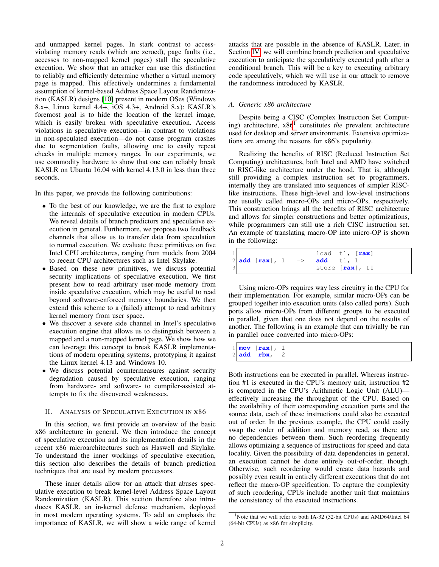and unmapped kernel pages. In stark contrast to accessviolating memory reads (which are zeroed), page faults (i.e., accesses to non-mapped kernel pages) stall the speculative execution. We show that an attacker can use this distinction to reliably and efficiently determine whether a virtual memory page is mapped. This effectively undermines a fundamental assumption of kernel-based Address Space Layout Randomization (KASLR) designs [\[10\]](#page-13-4) present in modern OSes (Windows 8.x+, Linux kernel 4.4+, iOS 4.3+, Android 8.x): KASLR's foremost goal is to hide the location of the kernel image, which is easily broken with speculative execution. Access violations in speculative execution—in contrast to violations in non-speculated execution—do not cause program crashes due to segmentation faults, allowing one to easily repeat checks in multiple memory ranges. In our experiments, we use commodity hardware to show that one can reliably break KASLR on Ubuntu 16.04 with kernel 4.13.0 in less than three seconds.

In this paper, we provide the following contributions:

- To the best of our knowledge, we are the first to explore the internals of speculative execution in modern CPUs. We reveal details of branch predictors and speculative execution in general. Furthermore, we propose two feedback channels that allow us to transfer data from speculation to normal execution. We evaluate these primitives on five Intel CPU architectures, ranging from models from 2004 to recent CPU architectures such as Intel Skylake.
- Based on these new primitives, we discuss potential security implications of speculative execution. We first present how to read arbitrary user-mode memory from inside speculative execution, which may be useful to read beyond software-enforced memory boundaries. We then extend this scheme to a (failed) attempt to read arbitrary kernel memory from user space.
- We discover a severe side channel in Intel's speculative execution engine that allows us to distinguish between a mapped and a non-mapped kernel page. We show how we can leverage this concept to break KASLR implementations of modern operating systems, prototyping it against the Linux kernel 4.13 and Windows 10.
- We discuss potential countermeasures against security degradation caused by speculative execution, ranging from hardware- and software- to compiler-assisted attempts to fix the discovered weaknesses.

## <span id="page-1-1"></span>II. ANALYSIS OF SPECULATIVE EXECUTION IN X86

In this section, we first provide an overview of the basic x86 architecture in general. We then introduce the concept of speculative execution and its implementation details in the recent x86 microarchitectures such as Haswell and Skylake. To understand the inner workings of speculative execution, this section also describes the details of branch prediction techniques that are used by modern processors.

These inner details allow for an attack that abuses speculative execution to break kernel-level Address Space Layout Randomization (KASLR). This section therefore also introduces KASLR, an in-kernel defense mechanism, deployed in most modern operating systems. To add an emphasis the importance of KASLR, we will show a wide range of kernel attacks that are possible in the absence of KASLR. Later, in Section [IV,](#page-4-0) we will combine branch prediction and speculative execution to anticipate the speculatively executed path after a conditional branch. This will be a key to executing arbitrary code speculatively, which we will use in our attack to remove the randomness introduced by KASLR.

# *A. Generic x86 architecture*

Despite being a CISC (Complex Instruction Set Computing) architecture, x86[1](#page-1-0) constitutes *the* prevalent architecture used for desktop and server environments. Extensive optimizations are among the reasons for x86's popularity.

Realizing the benefits of RISC (Reduced Instruction Set Computing) architectures, both Intel and AMD have switched to RISC-like architecture under the hood. That is, although still providing a complex instruction set to programmers, internally they are translated into sequences of simpler RISClike instructions. These high-level and low-level instructions are usually called macro-OPs and micro-OPs, respectively. This construction brings all the benefits of RISC architecture and allows for simpler constructions and better optimizations, while programmers can still use a rich CISC instruction set. An example of translating macro-OP into micro-OP is shown in the following:

|  |                                       |  | load t1, $\lceil \text{max} \rceil$ |  |
|--|---------------------------------------|--|-------------------------------------|--|
|  | 2 add $[\text{rax}]$ , 1 => add t1, 1 |  |                                     |  |
|  |                                       |  | store [rax], t1                     |  |

Using micro-OPs requires way less circuitry in the CPU for their implementation. For example, similar micro-OPs can be grouped together into execution units (also called ports). Such ports allow micro-OPs from different groups to be executed in parallel, given that one does not depend on the results of another. The following is an example that can trivially be run in parallel once converted into micro-OPs:

1 **mov** [**rax**], 1 2 **add rbx**, 2

Both instructions can be executed in parallel. Whereas instruction #1 is executed in the CPU's memory unit, instruction #2 is computed in the CPU's Arithmetic Logic Unit (ALU) effectively increasing the throughput of the CPU. Based on the availability of their corresponding execution ports and the source data, each of these instructions could also be executed out of order. In the previous example, the CPU could easily swap the order of addition and memory read, as there are no dependencies between them. Such reordering frequently allows optimizing a sequence of instructions for speed and data locality. Given the possibility of data dependencies in general, an execution cannot be done entirely out-of-order, though. Otherwise, such reordering would create data hazards and possibly even result in entirely different executions that do not reflect the macro-OP specification. To capture the complexity of such reordering, CPUs include another unit that maintains the consistency of the executed instructions.

<span id="page-1-0"></span><sup>&</sup>lt;sup>1</sup>Note that we will refer to both IA-32 (32-bit CPUs) and AMD64/Intel 64 (64-bit CPUs) as x86 for simplicity.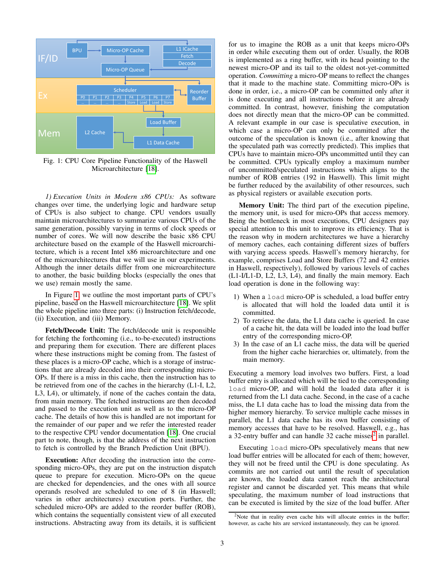<span id="page-2-0"></span>

Fig. 1: CPU Core Pipeline Functionality of the Haswell Microarchitecture [\[18\]](#page-13-5).

*1) Execution Units in Modern x86 CPUs:* As software changes over time, the underlying logic and hardware setup of CPUs is also subject to change. CPU vendors usually maintain microarchitectures to summarize various CPUs of the same generation, possibly varying in terms of clock speeds or number of cores. We will now describe the basic x86 CPU architecture based on the example of the Haswell microarchitecture, which is a recent Intel x86 microarchitecture and one of the microarchitectures that we will use in our experiments. Although the inner details differ from one microarchitecture to another, the basic building blocks (especially the ones that we use) remain mostly the same.

In Figure [1,](#page-2-0) we outline the most important parts of CPU's pipeline, based on the Haswell microarchitecture [\[18\]](#page-13-5). We split the whole pipeline into three parts: (i) Instruction fetch/decode, (ii) Execution, and (iii) Memory.

Fetch/Decode Unit: The fetch/decode unit is responsible for fetching the forthcoming (i.e., to-be-executed) instructions and preparing them for execution. There are different places where these instructions might be coming from. The fastest of these places is a micro-OP cache, which is a storage of instructions that are already decoded into their corresponding micro-OPs. If there is a miss in this cache, then the instruction has to be retrieved from one of the caches in the hierarchy (L1-I, L2, L3, L4), or ultimately, if none of the caches contain the data, from main memory. The fetched instructions are then decoded and passed to the execution unit as well as to the micro-OP cache. The details of how this is handled are not important for the remainder of our paper and we refer the interested reader to the respective CPU vendor documentation [\[18\]](#page-13-5). One crucial part to note, though, is that the address of the next instruction to fetch is controlled by the Branch Prediction Unit (BPU).

Execution: After decoding the instruction into the corresponding micro-OPs, they are put on the instruction dispatch queue to prepare for execution. Micro-OPs on the queue are checked for dependencies, and the ones with all source operands resolved are scheduled to one of 8 (in Haswell; varies in other architectures) execution ports. Further, the scheduled micro-OPs are added to the reorder buffer (ROB), which contains the sequentially consistent view of all executed instructions. Abstracting away from its details, it is sufficient for us to imagine the ROB as a unit that keeps micro-OPs in order while executing them out of order. Usually, the ROB is implemented as a ring buffer, with its head pointing to the newest micro-OP and its tail to the oldest not-yet-committed operation. *Committing* a micro-OP means to reflect the changes that it made to the machine state. Committing micro-OPs is done in order, i.e., a micro-OP can be committed only after it is done executing and all instructions before it are already committed. In contrast, however, finishing the computation does not directly mean that the micro-OP can be committed. A relevant example in our case is speculative execution, in which case a micro-OP can only be committed after the outcome of the speculation is known (i.e., after knowing that the speculated path was correctly predicted). This implies that CPUs have to maintain micro-OPs uncommitted until they can be committed. CPUs typically employ a maximum number of uncommitted/speculated instructions which aligns to the number of ROB entries (192 in Haswell). This limit might be further reduced by the availability of other resources, such as physical registers or available execution ports.

Memory Unit: The third part of the execution pipeline, the memory unit, is used for micro-OPs that access memory. Being the bottleneck in most executions, CPU designers pay special attention to this unit to improve its efficiency. That is the reason why in modern architectures we have a hierarchy of memory caches, each containing different sizes of buffers with varying access speeds. Haswell's memory hierarchy, for example, comprises Load and Store Buffers (72 and 42 entries in Haswell, respectively), followed by various levels of caches (L1-I/L1-D, L2, L3, L4), and finally the main memory. Each load operation is done in the following way:

- 1) When a load micro-OP is scheduled, a load buffer entry is allocated that will hold the loaded data until it is committed.
- 2) To retrieve the data, the L1 data cache is queried. In case of a cache hit, the data will be loaded into the load buffer entry of the corresponding micro-OP.
- 3) In the case of an L1 cache miss, the data will be queried from the higher cache hierarchies or, ultimately, from the main memory.

Executing a memory load involves two buffers. First, a load buffer entry is allocated which will be tied to the corresponding load micro-OP, and will hold the loaded data after it is returned from the L1 data cache. Second, in the case of a cache miss, the L1 data cache has to load the missing data from the higher memory hierarchy. To service multiple cache misses in parallel, the L1 data cache has its own buffer consisting of memory accesses that have to be resolved. Haswell, e.g., has a 3[2](#page-2-1)-entry buffer and can handle 32 cache misses<sup>2</sup> in parallel.

Executing load micro-OPs speculatively means that new load buffer entries will be allocated for each of them; however, they will not be freed until the CPU is done speculating. As commits are not carried out until the result of speculation are known, the loaded data cannot reach the architectural register and cannot be discarded yet. This means that while speculating, the maximum number of load instructions that can be executed is limited by the size of the load buffer. After

<span id="page-2-1"></span><sup>&</sup>lt;sup>2</sup>Note that in reality even cache hits will allocate entries in the buffer; however, as cache hits are serviced instantaneously, they can be ignored.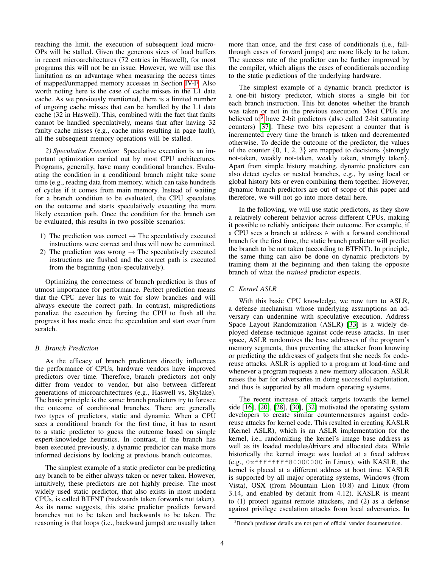reaching the limit, the execution of subsequent load micro-OPs will be stalled. Given the generous sizes of load buffers in recent microarchitectures (72 entries in Haswell), for most programs this will not be an issue. However, we will use this limitation as an advantage when measuring the access times of mapped/unmapped memory accesses in Section [IV-F.](#page-7-0) Also worth noting here is the case of cache misses in the L1 data cache. As we previously mentioned, there is a limited number of ongoing cache misses that can be handled by the L1 data cache (32 in Haswell). This, combined with the fact that faults cannot be handled speculatively, means that after having 32 faulty cache misses (e.g., cache miss resulting in page fault), all the subsequent memory operations will be stalled.

*2) Speculative Execution:* Speculative execution is an important optimization carried out by most CPU architectures. Programs, generally, have many conditional branches. Evaluating the condition in a conditional branch might take some time (e.g., reading data from memory, which can take hundreds of cycles if it comes from main memory. Instead of waiting for a branch condition to be evaluated, the CPU speculates on the outcome and starts speculatively executing the more likely execution path. Once the condition for the branch can be evaluated, this results in two possible scenarios:

- 1) The prediction was correct  $\rightarrow$  The speculatively executed instructions were correct and thus will now be committed.
- 2) The prediction was wrong  $\rightarrow$  The speculatively executed instructions are flushed and the correct path is executed from the beginning (non-speculatively).

Optimizing the correctness of branch prediction is thus of utmost importance for performance. Perfect prediction means that the CPU never has to wait for slow branches and will always execute the correct path. In contrast, mispredictions penalize the execution by forcing the CPU to flush all the progress it has made since the speculation and start over from scratch.

## *B. Branch Prediction*

As the efficacy of branch predictors directly influences the performance of CPUs, hardware vendors have improved predictors over time. Therefore, branch predictors not only differ from vendor to vendor, but also between different generations of microarchitectures (e.g., Haswell vs, Skylake). The basic principle is the same: branch predictors try to foresee the outcome of conditional branches. There are generally two types of predictors, static and dynamic. When a CPU sees a conditional branch for the first time, it has to resort to a static predictor to guess the outcome based on simple expert-knowledge heuristics. In contrast, if the branch has been executed previously, a dynamic predictor can make more informed decisions by looking at previous branch outcomes.

The simplest example of a static predictor can be predicting any branch to be either always taken or never taken. However, intuitively, these predictors are not highly precise. The most widely used static predictor, that also exists in most modern CPUs, is called BTFNT (backwards taken forwards not taken). As its name suggests, this static predictor predicts forward branches not to be taken and backwards to be taken. The reasoning is that loops (i.e., backward jumps) are usually taken more than once, and the first case of conditionals (i.e., fallthrough cases of forward jumps) are more likely to be taken. The success rate of the predictor can be further improved by the compiler, which aligns the cases of conditionals according to the static predictions of the underlying hardware.

The simplest example of a dynamic branch predictor is a one-bit history predictor, which stores a single bit for each branch instruction. This bit denotes whether the branch was taken or not in the previous execution. Most CPUs are believed to<sup>[3](#page-3-0)</sup> have 2-bit predictors (also called 2-bit saturating counters) [\[37\]](#page-13-6). These two bits represent a counter that is incremented every time the branch is taken and decremented otherwise. To decide the outcome of the predictor, the values of the counter  $\{0, 1, 2, 3\}$  are mapped to decisions  $\{strongly$ not-taken, weakly not-taken, weakly taken, strongly taken}. Apart from simple history matching, dynamic predictors can also detect cycles or nested branches, e.g., by using local or global history bits or even combining them together. However, dynamic branch predictors are out of scope of this paper and therefore, we will not go into more detail here.

In the following, we will use static predictors, as they show a relatively coherent behavior across different CPUs, making it possible to reliably anticipate their outcome. For example, if a CPU sees a branch at address A with a forward conditional branch for the first time, the static branch predictor will predict the branch to be not taken (according to BTFNT). In principle, the same thing can also be done on dynamic predictors by training them at the beginning and then taking the opposite branch of what the *trained* predictor expects.

# <span id="page-3-1"></span>*C. Kernel ASLR*

With this basic CPU knowledge, we now turn to ASLR, a defense mechanism whose underlying assumptions an adversary can undermine with speculative execution. Address Space Layout Randomization (ASLR) [\[33\]](#page-13-7) is a widely deployed defense technique against code-reuse attacks. In user space, ASLR randomizes the base addresses of the program's memory segments, thus preventing the attacker from knowing or predicting the addresses of gadgets that she needs for codereuse attacks. ASLR is applied to a program at load-time and whenever a program requests a new memory allocation. ASLR raises the bar for adversaries in doing successful exploitation, and thus is supported by all modern operating systems.

The recent increase of attack targets towards the kernel side [\[16\]](#page-13-8), [\[20\]](#page-13-9), [\[28\]](#page-13-10), [\[30\]](#page-13-11), [\[32\]](#page-13-12) motivated the operating system developers to create similar countermeasures against codereuse attacks for kernel code. This resulted in creating KASLR (Kernel ASLR), which is an ASLR implementation for the kernel, i.e., randomizing the kernel's image base address as well as its loaded modules/drivers and allocated data. While historically the kernel image was loaded at a fixed address (e.g., 0xffffffff80000000 in Linux), with KASLR, the kernel is placed at a different address at boot time. KASLR is supported by all major operating systems, Windows (from Vista), OSX (from Mountain Lion 10.8) and Linux (from 3.14, and enabled by default from 4.12). KASLR is meant to (1) protect against remote attackers, and (2) as a defense against privilege escalation attacks from local adversaries. In

<span id="page-3-0"></span><sup>&</sup>lt;sup>3</sup>Branch predictor details are not part of official vendor documentation.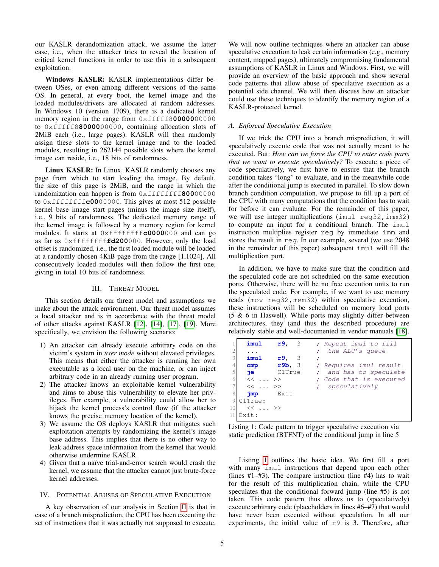our KASLR derandomization attack, we assume the latter case, i.e., when the attacker tries to reveal the location of critical kernel functions in order to use this in a subsequent exploitation.

Windows KASLR: KASLR implementations differ between OSes, or even among different versions of the same OS. In general, at every boot, the kernel image and the loaded modules/drivers are allocated at random addresses. In Windows 10 (version 1709), there is a dedicated kernel memory region in the range from 0xfffff8**00000**00000 to 0xfffff8**80000**00000, containing allocation slots of 2MiB each (i.e., large pages). KASLR will then randomly assign these slots to the kernel image and to the loaded modules, resulting in 262144 possible slots where the kernel image can reside, i.e., 18 bits of randomness.

Linux KASLR: In Linux, KASLR randomly chooses any page from which to start loading the image. By default, the size of this page is 2MiB, and the range in which the randomization can happen is from 0xffffffff**800**00000 to 0xffffffff**c00**00000. This gives at most 512 possible kernel base image start pages (minus the image size itself), i.e., 9 bits of randomness. The dedicated memory range of the kernel image is followed by a memory region for kernel modules. It starts at 0xffffffff**c0000**000 and can go as far as 0xffffffff**fd200**000. However, only the load offset is randomized, i.e., the first loaded module will be loaded at a randomly chosen 4KiB page from the range [1,1024]. All consecutively loaded modules will then follow the first one, giving in total 10 bits of randomness.

## III. THREAT MODEL

This section details our threat model and assumptions we make about the attack environment. Our threat model assumes a local attacker and is in accordance with the threat model of other attacks against KASLR [\[12\]](#page-13-13), [\[14\]](#page-13-14), [\[17\]](#page-13-15), [\[19\]](#page-13-16). More specifically, we envision the following scenario:

- 1) An attacker can already execute arbitrary code on the victim's system in *user mode* without elevated privileges. This means that either the attacker is running her own executable as a local user on the machine, or can inject arbitrary code in an already running user program.
- 2) The attacker knows an exploitable kernel vulnerability and aims to abuse this vulnerability to elevate her privileges. For example, a vulnerability could allow her to hijack the kernel process's control flow (if the attacker knows the precise memory location of the kernel).
- 3) We assume the OS deploys KASLR that mitigates such exploitation attempts by randomizing the kernel's image base address. This implies that there is no other way to leak address space information from the kernel that would otherwise undermine KASLR.
- 4) Given that a naïve trial-and-error search would crash the kernel, we assume that the attacker cannot just brute-force kernel addresses.

# <span id="page-4-0"></span>IV. POTENTIAL ABUSES OF SPECULATIVE EXECUTION

A key observation of our analysis in Section [II](#page-1-1) is that in case of a branch misprediction, the CPU has been executing the set of instructions that it was actually not supposed to execute. We will now outline techniques where an attacker can abuse speculative execution to leak certain information (e.g., memory content, mapped pages), ultimately compromising fundamental assumptions of KASLR in Linux and Windows. First, we will provide an overview of the basic approach and show several code patterns that allow abuse of speculative execution as a potential side channel. We will then discuss how an attacker could use these techniques to identify the memory region of a KASLR-protected kernel.

# *A. Enforced Speculative Execution*

If we trick the CPU into a branch misprediction, it will speculatively execute code that was not actually meant to be executed. But: *How can we force the CPU to enter code parts that we want to execute speculatively?* To execute a piece of code speculatively, we first have to ensure that the branch condition takes "long" to evaluate, and in the meanwhile code after the conditional jump is executed in parallel. To slow down branch condition computation, we propose to fill up a port of the CPU with many computations that the condition has to wait for before it can evaluate. For the remainder of this paper, we will use integer multiplications (imul reg32, imm32) to compute an input for a conditional branch. The imul instruction multiplies register reg by immediate imm and stores the result in reg. In our example, several (we use 2048 in the remainder of this paper) subsequent imul will fill the multiplication port.

In addition, we have to make sure that the condition and the speculated code are not scheduled on the same execution ports. Otherwise, there will be no free execution units to run the speculated code. For example, if we want to use memory reads (mov reg32, mem32) within speculative execution, these instructions will be scheduled on memory load ports (5 & 6 in Haswell). While ports may slightly differ between architectures, they (and thus the described procedure) are relatively stable and well-documented in vendor manuals [\[18\]](#page-13-5).

<span id="page-4-1"></span>

|               | imul           | r9.3       | ; Repeat imul to fill   |
|---------------|----------------|------------|-------------------------|
|               | $\cdots$       |            | ; the ALU's queue       |
|               | imul           | r9,<br>- 3 |                         |
|               | cmp            | r9b, 3     | ; Requires imul result  |
|               | iе             | ClTrue     | ; and has to speculate  |
| 6             | $<< \ldots >>$ |            | ; Code that is executed |
|               | $<< \ldots >>$ |            | ; speculatively         |
| 8             | jmp            | Exit       |                         |
| $\mathcal{Q}$ | $C1$ True:     |            |                         |
| 10            | $\ll$ >>       |            |                         |
|               | Exit:          |            |                         |

Listing 1: Code pattern to trigger speculative execution via static prediction (BTFNT) of the conditional jump in line 5

Listing [1](#page-4-1) outlines the basic idea. We first fill a port with many imul instructions that depend upon each other (lines #1–#3). The compare instruction (line #4) has to wait for the result of this multiplication chain, while the CPU speculates that the conditional forward jump (line #5) is not taken. This code pattern thus allows us to (speculatively) execute arbitrary code (placeholders in lines #6–#7) that would have never been executed without speculation. In all our experiments, the initial value of  $r9$  is 3. Therefore, after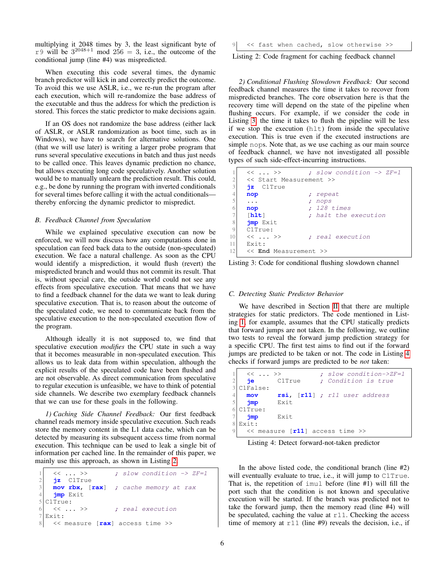multiplying it 2048 times by 3, the least significant byte of r9 will be  $3^{2048+1}$  mod  $256 = 3$ , i.e., the outcome of the conditional jump (line #4) was mispredicted.

When executing this code several times, the dynamic branch predictor will kick in and correctly predict the outcome. To avoid this we use ASLR, i.e., we re-run the program after each execution, which will re-randomize the base address of the executable and thus the address for which the prediction is stored. This forces the static predictor to make decisions again.

If an OS does not randomize the base address (either lack of ASLR, or ASLR randomization as boot time, such as in Windows), we have to search for alternative solutions. One (that we will use later) is writing a larger probe program that runs several speculative executions in batch and thus just needs to be called once. This leaves dynamic prediction no chance, but allows executing long code speculatively. Another solution would be to manually unlearn the prediction result. This could, e.g., be done by running the program with inverted conditionals for several times before calling it with the actual conditionals thereby enforcing the dynamic predictor to mispredict.

## <span id="page-5-3"></span>*B. Feedback Channel from Speculation*

While we explained speculative execution can now be enforced, we will now discuss how any computations done in speculation can feed back data to the outside (non-speculated) execution. We face a natural challenge. As soon as the CPU would identify a misprediction, it would flush (revert) the mispredicted branch and would thus not commit its result. That is, without special care, the outside world could not see any effects from speculative execution. That means that we have to find a feedback channel for the data we want to leak during speculative execution. That is, to reason about the outcome of the speculated code, we need to communicate back from the speculative execution to the non-speculated execution flow of the program.

Although ideally it is not supposed to, we find that speculative execution *modifies* the CPU state in such a way that it becomes measurable in non-speculated execution. This allows us to leak data from within speculation, although the explicit results of the speculated code have been flushed and are not observable. As direct communication from speculative to regular execution is unfeasible, we have to think of potential side channels. We describe two exemplary feedback channels that we can use for these goals in the following.

<span id="page-5-4"></span>*1) Caching Side Channel Feedback:* Our first feedback channel reads memory inside speculative execution. Such reads store the memory content in the L1 data cache, which can be detected by measuring its subsequent access time from normal execution. This technique can be used to leak a single bit of information per cached line. In the remainder of this paper, we mainly use this approach, as shown in Listing [2.](#page-5-0)

```
\langle\langle \, . \, . \, . \, \rangle \rangle ; slow condition \rightarrow ZF=1
2 jz C1True
3 mov rbx, [rax] ; cache memory at rax
4 jmp Exit
5 C1True:
6 \leq \ldots \gg ; real execution
7 Exit:
8 << measure [rax] access time >>
```
<< fast when cached, slow otherwise >>

Listing 2: Code fragment for caching feedback channel

*2) Conditional Flushing Slowdown Feedback:* Our second feedback channel measures the time it takes to recover from mispredicted branches. The core observation here is that the recovery time will depend on the state of the pipeline when flushing occurs. For example, if we consider the code in Listing [3,](#page-5-1) the time it takes to flush the pipeline will be less if we stop the execution (hlt) from inside the speculative execution. This is true even if the executed instructions are simple nops. Note that, as we use caching as our main source of feedback channel, we have not investigated all possible types of such side-effect-incurring instructions.

```
\langle\langle \, \ldots \rangle \rangle ; slow condition \rightarrow ZF=1
2 << Start Measurement >>
3 jz C1True
4 nop ; repeat
5 ... ; nops
6 nop ; 128 times
7 [hlt] ; halt the execution
8 jmp Exit
9 C1True:
10 \leq \langle \cdot, \cdot \rangle ; real execution
11 Exit:
12 << End Measurement >>
```


### *C. Detecting Static Predictor Behavior*

We have described in Section [II](#page-1-1) that there are multiple strategies for static predictors. The code mentioned in Listing [1,](#page-4-1) for example, assumes that the CPU statically predicts that forward jumps are not taken. In the following, we outline two tests to reveal the forward jump prediction strategy for a specific CPU. The first test aims to find out if the forward jumps are predicted to be taken or not. The code in Listing [4](#page-5-2) checks if forward jumps are predicted to be *not* taken:

<span id="page-5-2"></span>

| $<< \ldots >>$<br>пе | C1True                                 | ; slow condition->ZF=1<br>; Condition is true |
|----------------------|----------------------------------------|-----------------------------------------------|
| C1False:             |                                        |                                               |
| mov                  |                                        | $rsi$ , $[r11]$ ; $r11$ user address          |
| jmp                  | Exit                                   |                                               |
| C1True:              |                                        |                                               |
| jmp                  | Exit                                   |                                               |
| Exit:                |                                        |                                               |
|                      | $\ll$ measure [ $r11$ ] access time >> |                                               |

Listing 4: Detect forward-not-taken predictor

In the above listed code, the conditional branch (line #2) will eventually evaluate to true, i.e., it will jump to C1True. That is, the repetition of imul before (line #1) will fill the port such that the condition is not known and speculative execution will be started. If the branch was predicted not to take the forward jump, then the memory read (line #4) will be speculated, caching the value at  $r11$ . Checking the access time of memory at r11 (line #9) reveals the decision, i.e., if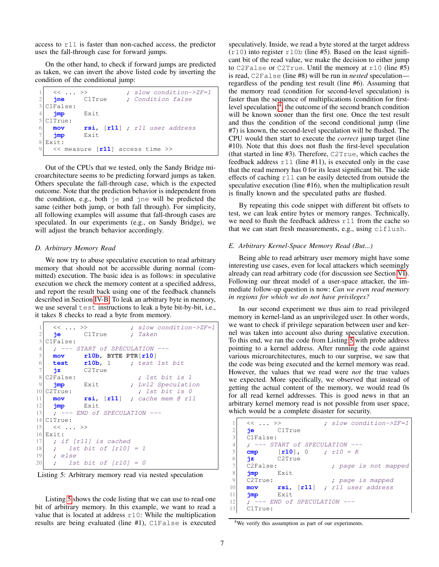access to r11 is faster than non-cached access, the predictor uses the fall-through case for forward jumps.

On the other hand, to check if forward jumps are predicted as taken, we can invert the above listed code by inverting the condition of the conditional jump:

| <<  >>        | ; slow condition->ZF=1                 |
|---------------|----------------------------------------|
| ine           | ; Condition false<br>ClTrue            |
| C1False:      |                                        |
| jmp           | Exit                                   |
| C1True:       |                                        |
| mov           | $rsi$ , $[r11]$ ; $r11$ user address   |
| $\frac{1}{2}$ | Exit                                   |
| Exit:         |                                        |
|               | $\ll$ measure [ $r11$ ] access time >> |

Out of the CPUs that we tested, only the Sandy Bridge microarchitecture seems to be predicting forward jumps as taken. Others speculate the fall-through case, which is the expected outcome. Note that the prediction behavior is independent from the condition, e.g., both je and jne will be predicted the same (either both jump, or both fall through). For simplicity, all following examples will assume that fall-through cases are speculated. In our experiments (e.g., on Sandy Bridge), we will adjust the branch behavior accordingly.

## <span id="page-6-4"></span>*D. Arbitrary Memory Read*

We now try to abuse speculative execution to read arbitrary memory that should not be accessible during normal (committed) execution. The basic idea is as follows: in speculative execution we check the memory content at a specified address, and report the result back using one of the feedback channels described in Section [IV-B.](#page-5-3) To leak an arbitrary byte in memory, we use several test instructions to leak a byte bit-by-bit, i.e., it takes 8 checks to read a byte from memory.

```
<< ... >> ; slow condition->ZF=1
2 je C1True ; Taken
3 C1False:
4 ; --- START of SPECULATION ---
5 mov r10b, BYTE PTR[r10]
6 test r10b, 1 ; test 1st bit
7 jz C2True
8 C2False: ; 1st bit is 1
9 jmp Exit ; Lvl2 Speculation
10 \, \text{C2True:} ; 1st bit is 0
11 mov rsi, [r11] ; cache mem @ r11
12 jmp Exit
13 ; --- END of SPECULATION ---
14 C1True:
15 << ... >>
16 Exit:
17 ; if [r11] is cached
18 ; 1st bit of [r10] = 119 ; else
20 ; 1st bit of [r10] = 0
```
Listing 5: Arbitrary memory read via nested speculation

Listing [5](#page-6-0) shows the code listing that we can use to read one bit of arbitrary memory. In this example, we want to read a value that is located at address r10: While the multiplication results are being evaluated (line #1), C1False is executed speculatively. Inside, we read a byte stored at the target address  $(r10)$  into register  $r10b$  (line #5). Based on the least significant bit of the read value, we make the decision to either jump to C2False or C2True. Until the memory at r10 (line #5) is read, C2False (line #8) will be run in *nested* speculation regardless of the pending test result (line #6). Assuming that the memory read (condition for second-level speculation) is faster than the sequence of multiplications (condition for firstlevel speculation) $<sup>4</sup>$  $<sup>4</sup>$  $<sup>4</sup>$ , the outcome of the second branch condition</sup> will be known sooner than the first one. Once the test result and thus the condition of the second conditional jump (line #7) is known, the second-level speculation will be flushed. The CPU would then start to execute the *correct* jump target (line #10). Note that this does not flush the first-level speculation (that started in line #3). Therefore, C2True, which caches the feedback address  $r11$  (line #11), is executed only in the case that the read memory has 0 for its least significant bit. The side effects of caching r11 can be easily detected from outside the speculative execution (line #16), when the multiplication result is finally known and the speculated paths are flushed.

By repeating this code snippet with different bit offsets to test, we can leak entire bytes or memory ranges. Technically, we need to flush the feedback address r11 from the cache so that we can start fresh measurements, e.g., using clflush.

#### <span id="page-6-3"></span>*E. Arbitrary Kernel-Space Memory Read (But...)*

Being able to read arbitrary user memory might have some interesting use cases, even for local attackers which seemingly already can read arbitrary code (for discussion see Section [VI\)](#page-10-0). Following our threat model of a user-space attacker, the immediate follow-up question is now: *Can we even read memory in regions for which we do not have privileges?*

In our second experiment we thus aim to read privileged memory in kernel-land as an unprivileged user. In other words, we want to check if privilege separation between user and kernel was taken into account also during speculative execution. To this end, we ran the code from Listing [5](#page-6-0) with probe address pointing to a kernel address. After running the code against various microarchitectures, much to our surprise, we saw that the code was being executed and the kernel memory was read. However, the values that we read were *not* the true values we expected. More specifically, we observed that instead of getting the actual content of the memory, we would read 0s for all read kernel addresses. This is good news in that an arbitrary kernel memory read is not possible from user space, which would be a complete disaster for security.

```
<< ... >> ; slow condition->ZF=1
2 je C1True
3 C1False:
4 ; --- START of SPECULATION ---
5 cmp [r10], 0 ; r10 = K
6 jz C2True
7 C2False: ; page is not mapped
8 jmp Exit
9 C2True: ; page is mapped
10 mov rsi, [r11] ; r11 user address
11 jmp Exit
12 ; --- END of SPECULATION ---
13 C1True:
```
<span id="page-6-1"></span><sup>4</sup>We verify this assumption as part of our experiments.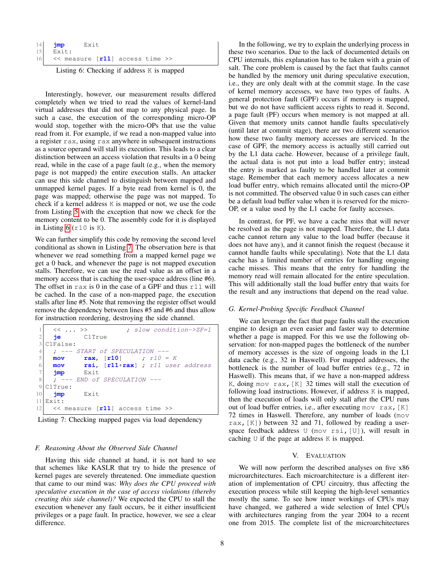| $14$ $\frac{1}{2}$ mp | Exit                                  |  |  |
|-----------------------|---------------------------------------|--|--|
| $15$ Exit:            |                                       |  |  |
|                       | 16 $\ll$ measure [r11] access time >> |  |  |

| Listing 6: Checking if address K is mapped |  |  |  |  |  |  |
|--------------------------------------------|--|--|--|--|--|--|
|--------------------------------------------|--|--|--|--|--|--|

Interestingly, however, our measurement results differed completely when we tried to read the values of kernel-land virtual addresses that did not map to any physical page. In such a case, the execution of the corresponding micro-OP would stop, together with the micro-OPs that use the value read from it. For example, if we read a non-mapped value into a register rax, using rax anywhere in subsequent instructions as a source operand will stall its execution. This leads to a clear distinction between an access violation that results in a 0 being read, while in the case of a page fault (e.g., when the memory page is not mapped) the entire execution stalls. An attacker can use this side channel to distinguish between mapped and unmapped kernel pages. If a byte read from kernel is 0, the page was mapped; otherwise the page was not mapped. To check if a kernel address K is mapped or not, we use the code from Listing [5](#page-6-0) with the exception that now we check for the memory content to be 0. The assembly code for it is displayed in Listing  $6$  ( $r10$  is K).

We can further simplify this code by removing the second level conditional as shown in Listing [7.](#page-7-1) The observation here is that whenever we read something from a mapped kernel page we get a 0 back, and whenever the page is not mapped execution stalls. Therefore, we can use the read value as an offset in a memory access that is caching the user-space address (line #6). The offset in  $rax$  is 0 in the case of a GPF and thus  $r11$  will be cached. In the case of a non-mapped page, the execution stalls after line #5. Note that removing the register offset would remove the dependency between lines #5 and #6 and thus allow for instruction reordering, destroying the side channel.

```
<< ... >> ; slow condition->ZF=1
2 je C1True
3 C1False:
4 ; --- START of SPECULATION ---
5 mov rax, [r10] ; r10 = K
6 mov rsi, [r11+rax] ; r11 user address
7 jmp Exit
8 ; --- END of SPECULATION ---
9 C1True:
10 jmp Exit
11 Exit:
12 \lt measure [r11] access time >>
```
Listing 7: Checking mapped pages via load dependency

#### <span id="page-7-0"></span>*F. Reasoning About the Observed Side Channel*

Having this side channel at hand, it is not hard to see that schemes like KASLR that try to hide the presence of kernel pages are severely threatened. One immediate question that came to our mind was: *Why does the CPU proceed with speculative execution in the case of access violations (thereby creating this side channel)?* We expected the CPU to stall the execution whenever any fault occurs, be it either insufficient privileges or a page fault. In practice, however, we see a clear difference.

In the following, we try to explain the underlying process in these two scenarios. Due to the lack of documented details on CPU internals, this explanation has to be taken with a grain of salt. The core problem is caused by the fact that faults cannot be handled by the memory unit during speculative execution, i.e., they are only dealt with at the commit stage. In the case of kernel memory accesses, we have two types of faults. A general protection fault (GPF) occurs if memory is mapped, but we do not have sufficient access rights to read it. Second, a page fault (PF) occurs when memory is not mapped at all. Given that memory units cannot handle faults speculatively (until later at commit stage), there are two different scenarios how these two faulty memory accesses are serviced. In the case of GPF, the memory access is actually still carried out by the L1 data cache. However, because of a privilege fault, the actual data is not put into a load buffer entry; instead the entry is marked as faulty to be handled later at commit stage. Remember that each memory access allocates a new load buffer entry, which remains allocated until the micro-OP is not committed. The observed value 0 in such cases can either be a default load buffer value when it is reserved for the micro-OP, or a value used by the L1 cache for faulty accesses.

In contrast, for PF, we have a cache miss that will never be resolved as the page is not mapped. Therefore, the L1 data cache cannot return any value to the load buffer (because it does not have any), and it cannot finish the request (because it cannot handle faults while speculating). Note that the L1 data cache has a limited number of entries for handling ongoing cache misses. This means that the entry for handling the memory read will remain allocated for the entire speculation. This will additionally stall the load buffer entry that waits for the result and any instructions that depend on the read value.

## <span id="page-7-2"></span>*G. Kernel-Probing Specific Feedback Channel*

We can leverage the fact that page faults stall the execution engine to design an even easier and faster way to determine whether a page is mapped. For this we use the following observation: for non-mapped pages the bottleneck of the number of memory accesses is the size of ongoing loads in the L1 data cache (e.g., 32 in Haswell). For mapped addresses, the bottleneck is the number of load buffer entries (e.g., 72 in Haswell). This means that, if we have a non-mapped address K, doing mov rax,  $[K]$  32 times will stall the execution of following load instructions. However, if address K is mapped, then the execution of loads will only stall after the CPU runs out of load buffer entries, i.e., after executing mov rax,[K] 72 times in Haswell. Therefore, any number of loads (mov rax,  $[K]$ ) between 32 and 71, followed by reading a userspace feedback address U (mov rsi, [U]), will result in caching U if the page at address K is mapped.

#### V. EVALUATION

<span id="page-7-3"></span>We will now perform the described analyses on five x86 microarchitectures. Each microarchitecture is a different iteration of implementation of CPU circuitry, thus affecting the execution process while still keeping the high-level semantics mostly the same. To see how inner workings of CPUs may have changed, we gathered a wide selection of Intel CPUs with architectures ranging from the year 2004 to a recent one from 2015. The complete list of the microarchitectures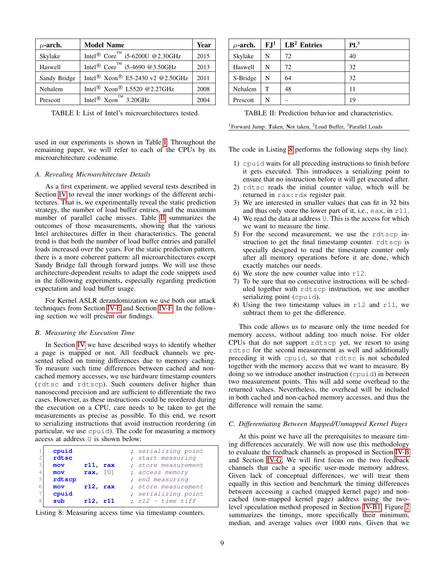<span id="page-8-0"></span>

| $\mu$ -arch. | <b>Model Name</b>                                      | Year |
|--------------|--------------------------------------------------------|------|
| Skylake      | Intel <sup>®</sup> Core <sup>™</sup> i5-6200U @2.30GHz | 2015 |
| Haswell      | Intel <sup>®</sup> Core <sup>™</sup> i5-4690 @3.50GHz  | 2013 |
| Sandy Bridge | Intel® Xeon® E5-2430 v2 @2.50GHz                       | 2011 |
| Nehalem      | Intel <sup>®</sup> Xeon <sup>®</sup> L5520 @2.27GHz    | 2008 |
| Prescott     | Intel <sup>®</sup> Xeon <sup>™</sup> 3.20GHz           | 2004 |

TABLE I: List of Intel's microarchitectures tested.

used in our experiments is shown in Table [I.](#page-8-0) Throughout the remaining paper, we will refer to each of the CPUs by its microarchitecture codename.

### *A. Revealing Microarchitecture Details*

As a first experiment, we applied several tests described in Section [IV](#page-4-0) to reveal the inner workings of the different architectures. That is, we experimentally reveal the static prediction strategy, the number of load buffer entries, and the maximum number of parallel cache misses. Table [II](#page-8-1) summarizes the outcomes of those measurements, showing that the various Intel architectures differ in their characteristics. The general trend is that both the number of load buffer entries and parallel loads increased over the years. For the static prediction pattern, there is a more coherent pattern: all microarchitectures except Sandy Bridge fall through forward jumps. We will use these architecture-dependent results to adapt the code snippets used in the following experiments, especially regarding prediction expectation and load buffer usage.

For Kernel ASLR derandomization we use both our attack techniques from Section [IV-E](#page-6-3) and Section [IV-F.](#page-7-0) In the following section we will present our findings.

## *B. Measuring the Execution Time*

In Section [IV](#page-4-0) we have described ways to identify whether a page is mapped or not. All feedback channels we presented relied on timing differences due to memory caching. To measure such time differences between cached and noncached memory accesses, we use hardware timestamp counters (rdtsc and rdtscp). Such counters deliver higher than nanosecond precision and are sufficient to differentiate the two cases. However, as these instructions could be reordered during the execution on a CPU, care needs to be taken to get the measurements as precise as possible. To this end, we resort to serializing instructions that avoid instruction reordering (in particular, we use cpuid). The code for measuring a memory access at address U is shown below:

<span id="page-8-2"></span>

| $\mathcal{R}$ | cpuid<br>rdtsc<br>mov<br>mov<br>rdtscp | $r11$ ,<br>rax<br>rax, $[U]$ | ; serializing point<br>; start measuring<br>; store measurement<br>; access memory<br>; end measuring |
|---------------|----------------------------------------|------------------------------|-------------------------------------------------------------------------------------------------------|
| 6<br>8        | mov<br>cpuid<br>sub                    | $r12$ , rax<br>$r12.$ $r11$  | ; store measurement<br>; serializing point<br>; $r12 - time \ntiff$                                   |

Listing 8: Measuring access time via timestamp counters.

<span id="page-8-1"></span>

| $\mu$ -arch. | FJ <sup>1</sup> | $LB2$ Entries | $PL^3$ |
|--------------|-----------------|---------------|--------|
| Skylake      | N               | 72            | 40     |
| Haswell      | N               | 72            | 32     |
| S-Bridge     | N               | 64            | 32     |
| Nehalem      | T               | 48            | 11     |
| Prescott     | N               |               | 19     |

TABLE II: Prediction behavior and characteristics.

<sup>1</sup>Forward Jump: Taken, Not taken, <sup>2</sup>Load Buffer, <sup>3</sup>Parallel Loads

The code in Listing [8](#page-8-2) performs the following steps (by line):

- 1) cpuid waits for all preceding instructions to finish before it gets executed. This introduces a serializing point to ensure that no instruction before it will get executed after.
- 2) rdtsc reads the initial counter value, which will be returned in rax:rdx register pair.
- 3) We are interested in smaller values that can fit in 32 bits and thus only store the lower part of it, i.e., eax, in r11.
- 4) We read the data at address U. This is the access for which we want to measure the time.
- 5) For the second measurement, we use the rdtscp instruction to get the final timestamp counter. rdtscp is specially designed to read the timestamp counter only after all memory operations before it are done, which exactly matches our needs.
- 6) We store the new counter value into  $r12$ .
- 7) To be sure that no consecutive instructions will be scheduled together with rdtscp instruction, we use another serializing point (cpuid).
- 8) Using the two timestamp values in  $r12$  and  $r11$ , we subtract them to get the difference.

This code allows us to measure only the time needed for memory access, without adding too much noise. For older CPUs that do not support rdtscp yet, we resort to using rdtsc for the second measurement as well and additionally preceding it with cpuid, so that rdtsc is not scheduled together with the memory access that we want to measure. By doing so we introduce another instruction (cpuid) in between two measurement points. This will add some overhead to the returned values. Nevertheless, the overhead will be included in both cached and non-cached memory accesses, and thus the difference will remain the same.

## *C. Differentiating Between Mapped/Unmapped Kernel Pages*

At this point we have all the prerequisites to measure timing differences accurately. We will now use this methodology to evaluate the feedback channels as proposed in Section [IV-B](#page-5-3) and Section [IV-G.](#page-7-2) We will first focus on the two feedback channels that cache a specific user-mode memory address. Given lack of conceptual differences, we will treat them equally in this section and benchmark the timing differences between accessing a cached (mapped kernel page) and noncached (non-mapped kernel page) address using the twolevel speculation method proposed in Section [IV-B1.](#page-5-4) Figure [2](#page-9-0) summarizes the timings, more specifically their minimum, median, and average values over 1000 runs. Given that we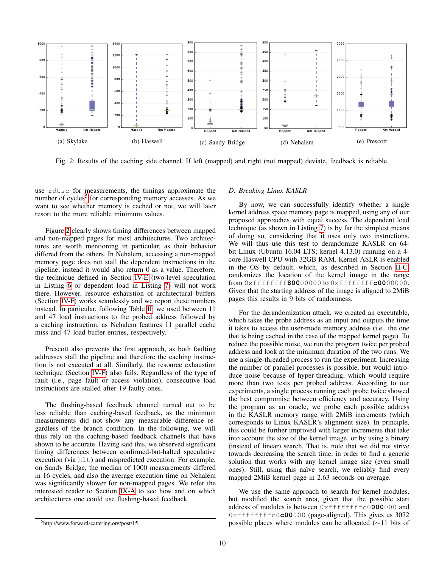<span id="page-9-0"></span>

Fig. 2: Results of the caching side channel. If left (mapped) and right (not mapped) deviate, feedback is reliable.

use rdtsc for measurements, the timings approximate the number of cycles<sup>[5](#page-9-1)</sup> for corresponding memory accesses. As we want to see whether memory is cached or not, we will later resort to the more reliable minimum values.

Figure [2](#page-9-0) clearly shows timing differences between mapped and non-mapped pages for most architectures. Two architectures are worth mentioning in particular, as their behavior differed from the others. In Nehalem, accessing a non-mapped memory page does not stall the dependent instructions in the pipeline; instead it would also return 0 as a value. Therefore, the technique defined in Section [IV-E](#page-6-3) (two-level speculation in Listing [6](#page-6-2) or dependent load in Listing [7\)](#page-7-1) will not work there. However, resource exhaustion of architectural buffers (Section [IV-F\)](#page-7-0) works seamlessly and we report these numbers instead. In particular, following Table [II,](#page-8-1) we used between 11 and 47 load instructions to the probed address followed by a caching instruction, as Nehalem features 11 parallel cache miss and 47 load buffer entries, respectively.

Prescott also prevents the first approach, as both faulting addresses stall the pipeline and therefore the caching instruction is not executed at all. Similarly, the resource exhaustion technique (Section [IV-F\)](#page-7-0) also fails. Regardless of the type of fault (i.e., page fault or access violation), consecutive load instructions are stalled after 19 faulty ones.

The flushing-based feedback channel turned out to be less reliable than caching-based feedback, as the minimum measurements did not show any measurable difference regardless of the branch condition. In the following, we will thus rely on the caching-based feedback channels that have shown to be accurate. Having said this, we observed significant timing differences between confirmed-but-halted speculative execution (via hlt) and mispredicted execution. For example, on Sandy Bridge, the median of 1000 measurements differed in 16 cycles, and also the average execution time on Nehalem was significantly slower for non-mapped pages. We refer the interested reader to Section [IX-A](#page-14-0) to see how and on which architectures one could use flushing-based feedback.

#### <span id="page-9-1"></span><sup>5</sup>http://www.forwardscattering.org/post/15

#### <span id="page-9-2"></span>*D. Breaking Linux KASLR*

By now, we can successfully identify whether a single kernel address space memory page is mapped, using any of our proposed approaches with equal success. The dependent load technique (as shown in Listing [7\)](#page-7-1) is by far the simplest means of doing so, considering that it uses only two instructions. We will thus use this test to derandomize KASLR on 64 bit Linux (Ubuntu 16.04 LTS; kernel 4.13.0) running on a 4 core Haswell CPU with 32GB RAM. Kernel ASLR is enabled in the OS by default, which, as described in Section [II-C,](#page-3-1) randomizes the location of the kernel image in the range from 0xffffffff**800**00000 to 0xffffffff**c00**00000. Given that the starting address of the image is aligned to 2MiB pages this results in 9 bits of randomness.

For the derandomization attack, we created an executable, which takes the probe address as an input and outputs the time it takes to access the user-mode memory address (i.e., the one that is being cached in the case of the mapped kernel page). To reduce the possible noise, we run the program twice per probed address and look at the minimum duration of the two runs. We use a single-threaded process to run the experiment. Increasing the number of parallel processes is possible, but would introduce noise because of hyper-threading, which would require more than two tests per probed address. According to our experiments, a single process running each probe twice showed the best compromise between efficiency and accuracy. Using the program as an oracle, we probe each possible address in the KASLR memory range with 2MiB increments (which corresponds to Linux KASLR's alignment size). In principle, this could be further improved with larger increments that take into account the size of the kernel image, or by using a binary (instead of linear) search. That is, note that we did not strive towards decreasing the search time, in order to find a generic solution that works with any kernel image size (even small ones). Still, using this naïve search, we reliably find every mapped 2MiB kernel page in 2.63 seconds on average.

We use the same approach to search for kernel modules, but modified the search area, given that the possible start address of modules is between 0xffffffffc0**000**000 and 0xffffffffc0**c00**000 (page-aligned). This gives us 3072 possible places where modules can be allocated (∼11 bits of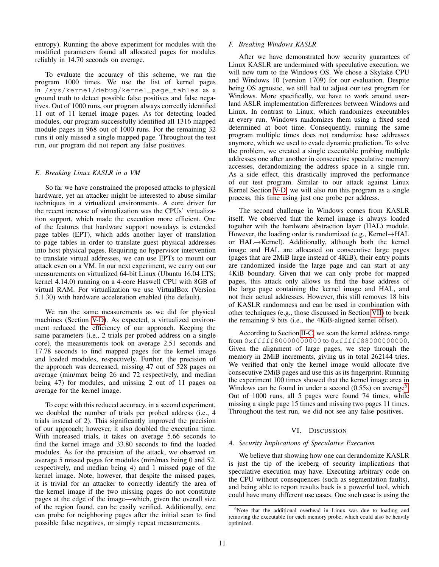entropy). Running the above experiment for modules with the modified parameters found all allocated pages for modules reliably in 14.70 seconds on average.

To evaluate the accuracy of this scheme, we ran the program 1000 times. We use the list of kernel pages in /sys/kernel/debug/kernel\_page\_tables as a ground truth to detect possible false positives and false negatives. Out of 1000 runs, our program always correctly identified 11 out of 11 kernel image pages. As for detecting loaded modules, our program successfully identified all 1316 mapped module pages in 968 out of 1000 runs. For the remaining 32 runs it only missed a single mapped page. Throughout the test run, our program did not report any false positives.

## *E. Breaking Linux KASLR in a VM*

So far we have constrained the proposed attacks to physical hardware, yet an attacker might be interested to abuse similar techniques in a virtualized environments. A core driver for the recent increase of virtualization was the CPUs' virtualization support, which made the execution more efficient. One of the features that hardware support nowadays is extended page tables (EPT), which adds another layer of translation to page tables in order to translate guest physical addresses into host physical pages. Requiring no hypervisor intervention to translate virtual addresses, we can use EPTs to mount our attack even on a VM. In our next experiment, we carry out our measurements on virtualized 64-bit Linux (Ubuntu 16.04 LTS; kernel 4.14.0) running on a 4-core Haswell CPU with 8GB of virtual RAM. For virtualization we use VirtualBox (Version 5.1.30) with hardware acceleration enabled (the default).

We ran the same measurements as we did for physical machines (Section [V-D\)](#page-9-2). As expected, a virtualized environment reduced the efficiency of our approach. Keeping the same parameters (i.e., 2 trials per probed address on a single core), the measurements took on average 2.51 seconds and 17.78 seconds to find mapped pages for the kernel image and loaded modules, respectively. Further, the precision of the approach was decreased, missing 47 out of 528 pages on average (min/max being 26 and 72 respectively, and median being 47) for modules, and missing 2 out of 11 pages on average for the kernel image.

To cope with this reduced accuracy, in a second experiment, we doubled the number of trials per probed address (i.e., 4 trials instead of 2). This significantly improved the precision of our approach; however, it also doubled the execution time. With increased trials, it takes on average 5.66 seconds to find the kernel image and 33.80 seconds to find the loaded modules. As for the precision of the attack, we observed on average 5 missed pages for modules (min/max being 0 and 52, respectively, and median being 4) and 1 missed page of the kernel image. Note, however, that despite the missed pages, it is trivial for an attacker to correctly identify the area of the kernel image if the two missing pages do not constitute pages at the edge of the image—which, given the overall size of the region found, can be easily verified. Additionally, one can probe for neighboring pages after the initial scan to find possible false negatives, or simply repeat measurements.

## *F. Breaking Windows KASLR*

After we have demonstrated how security guarantees of Linux KASLR are undermined with speculative execution, we will now turn to the Windows OS. We chose a Skylake CPU and Windows 10 (version 1709) for our evaluation. Despite being OS agnostic, we still had to adjust our test program for Windows. More specifically, we have to work around userland ASLR implementation differences between Windows and Linux. In contrast to Linux, which randomizes executables at every run, Windows randomizes them using a fixed seed determined at boot time. Consequently, running the same program multiple times does not randomize base addresses anymore, which we used to evade dynamic prediction. To solve the problem, we created a single executable probing multiple addresses one after another in consecutive speculative memory accesses, derandomizing the address space in a single run. As a side effect, this drastically improved the performance of our test program. Similar to our attack against Linux Kernel Section [V-D,](#page-9-2) we will also run this program as a single process, this time using just one probe per address.

The second challenge in Windows comes from KASLR itself. We observed that the kernel image is always loaded together with the hardware abstraction layer (HAL) module. However, the loading order is randomized (e.g., Kernel $\rightarrow$ HAL or HAL→Kernel). Additionally, although both the kernel image and HAL are allocated on consecutive large pages (pages that are 2MiB large instead of 4KiB), their entry points are randomized inside the large page and can start at any 4KiB boundary. Given that we can only probe for mapped pages, this attack only allows us find the base address of the large page containing the kernel image and HAL, and not their actual addresses. However, this still removes 18 bits of KASLR randomness and can be used in combination with other techniques (e.g., those discussed in Section [VII\)](#page-12-0) to break the remaining 9 bits (i.e., the 4KiB-aligned kernel offset).

According to Section [II-C,](#page-3-1) we scan the kernel address range from 0xfffff80000000000 to 0xfffff88000000000. Given the alignment of large pages, we step through the memory in 2MiB increments, giving us in total 262144 tries. We verified that only the kernel image would allocate five consecutive 2MiB pages and use this as its fingerprint. Running the experiment 100 times showed that the kernel image area in Windows can be found in under a second  $(0.55s)$  on average<sup>[6](#page-10-1)</sup>. Out of 1000 runs, all 5 pages were found 74 times, while missing a single page 15 times and missing two pages 11 times. Throughout the test run, we did not see any false positives.

## VI. DISCUSSION

## <span id="page-10-2"></span><span id="page-10-0"></span>*A. Security Implications of Speculative Execution*

We believe that showing how one can derandomize KASLR is just the tip of the iceberg of security implications that speculative execution may have. Executing arbitrary code on the CPU without consequences (such as segmentation faults), and being able to report results back is a powerful tool, which could have many different use cases. One such case is using the

<span id="page-10-1"></span><sup>&</sup>lt;sup>6</sup>Note that the additional overhead in Linux was due to loading and removing the executable for each memory probe, which could also be heavily optimized.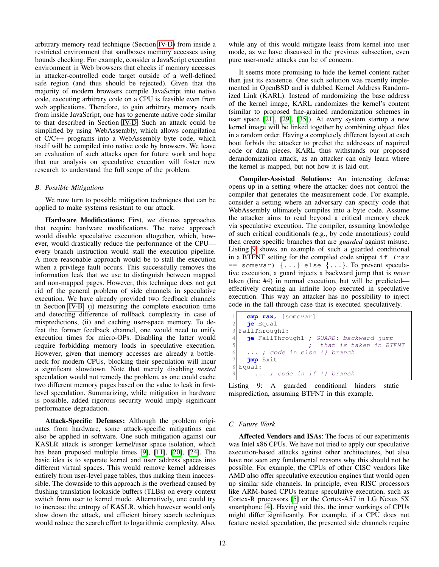arbitrary memory read technique (Section [IV-D\)](#page-6-4) from inside a restricted environment that sandboxes memory accesses using bounds checking. For example, consider a JavaScript execution environment in Web browsers that checks if memory accesses in attacker-controlled code target outside of a well-defined safe region (and thus should be rejected). Given that the majority of modern browsers compile JavaScript into native code, executing arbitrary code on a CPU is feasible even from web applications. Therefore, to gain arbitrary memory reads from inside JavaScript, one has to generate native code similar to that described in Section [IV-D.](#page-6-4) Such an attack could be simplified by using WebAssembly, which allows compilation of C/C++ programs into a WebAssembly byte code, which itself will be compiled into native code by browsers. We leave an evaluation of such attacks open for future work and hope that our analysis on speculative execution will foster new research to understand the full scope of the problem.

#### *B. Possible Mitigations*

We now turn to possible mitigation techniques that can be applied to make systems resistant to our attack.

Hardware Modifications: First, we discuss approaches that require hardware modifications. The naive approach would disable speculative execution altogether, which, however, would drastically reduce the performance of the CPU every branch instruction would stall the execution pipeline. A more reasonable approach would be to stall the execution when a privilege fault occurs. This successfully removes the information leak that we use to distinguish between mapped and non-mapped pages. However, this technique does not get rid of the general problem of side channels in speculative execution. We have already provided two feedback channels in Section [IV-B:](#page-5-3) (i) measuring the complete execution time and detecting difference of rollback complexity in case of mispredictions, (ii) and caching user-space memory. To defeat the former feedback channel, one would need to unify execution times for micro-OPs. Disabling the latter would require forbidding memory loads in speculative execution. However, given that memory accesses are already a bottleneck for modern CPUs, blocking their speculation will incur a significant slowdown. Note that merely disabling *nested* speculation would not remedy the problem, as one could cache two different memory pages based on the value to leak in firstlevel speculation. Summarizing, while mitigation in hardware is possible, added rigorous security would imply significant performance degradation.

Attack-Specific Defenses: Although the problem originates from hardware, some attack-specific mitigations can also be applied in software. One such mitigation against our KASLR attack is stronger kernel/user space isolation, which has been proposed multiple times [\[9\]](#page-13-17), [\[11\]](#page-13-18), [\[20\]](#page-13-9), [\[24\]](#page-13-19). The basic idea is to separate kernel and user address spaces into different virtual spaces. This would remove kernel addresses entirely from user-level page tables, thus making them inaccessible. The downside to this approach is the overhead caused by flushing translation lookaside buffers (TLBs) on every context switch from user to kernel mode. Alternatively, one could try to increase the entropy of KASLR, which however would only slow down the attack, and efficient binary search techniques would reduce the search effort to logarithmic complexity. Also, while any of this would mitigate leaks from kernel into user mode, as we have discussed in the previous subsection, even pure user-mode attacks can be of concern.

It seems more promising to hide the kernel content rather than just its existence. One such solution was recently implemented in OpenBSD and is dubbed Kernel Address Randomized Link (KARL). Instead of randomizing the base address of the kernel image, KARL randomizes the kernel's content (similar to proposed fine-grained randomization schemes in user space [\[21\]](#page-13-20), [\[29\]](#page-13-21), [\[35\]](#page-13-22)). At every system startup a new kernel image will be linked together by combining object files in a random order. Having a completely different layout at each boot forbids the attacker to predict the addresses of required code or data pieces. KARL thus withstands our proposed derandomization attack, as an attacker can only learn where the kernel is mapped, but not how it is laid out.

Compiler-Assisted Solutions: An interesting defense opens up in a setting where the attacker does not control the compiler that generates the measurement code. For example, consider a setting where an adversary can specify code that WebAssembly ultimately compiles into a byte code. Assume the attacker aims to read beyond a critical memory check via speculative execution. The compiler, assuming knowledge of such critical conditionals (e.g., by code annotations) could then create specific branches that are *guarded* against misuse. Listing [9](#page-11-0) shows an example of such a guarded conditional in a BTFNT setting for the compiled code snippet  $if$  (rax  $=$  somevar)  $\{ \ldots \}$  else  $\{ \ldots \}$ . To prevent speculative execution, a guard injects a backward jump that is *never* taken (line #4) in normal execution, but will be predicted effectively creating an infinite loop executed in speculative execution. This way an attacker has no possibility to inject code in the fall-through case that is executed speculatively.

```
cmp rax, [somevar]
2 je Equal
3 FallThrough1:
4 je FallThrough1 ; GUARD: backward jump
5 7 5 7 that is taken in BTFNT
6 ... ; code in else {} branch
7 jmp Exit
8 Equal:
     ...; code in if {} branch
```
Listing 9: A guarded conditional hinders static misprediction, assuming BTFNT in this example.

#### *C. Future Work*

Affected Vendors and ISAs: The focus of our experiments was Intel x86 CPUs. We have not tried to apply our speculative execution-based attacks against other architectures, but also have not seen any fundamental reasons why this should not be possible. For example, the CPUs of other CISC vendors like AMD also offer speculative execution engines that would open up similar side channels. In principle, even RISC processors like ARM-based CPUs feature speculative execution, such as Cortex-R processors [\[5\]](#page-13-23) or the Cortex-A57 in LG Nexus 5X smartphone [\[4\]](#page-13-24). Having said this, the inner workings of CPUs might differ significantly. For example, if a CPU does not feature nested speculation, the presented side channels require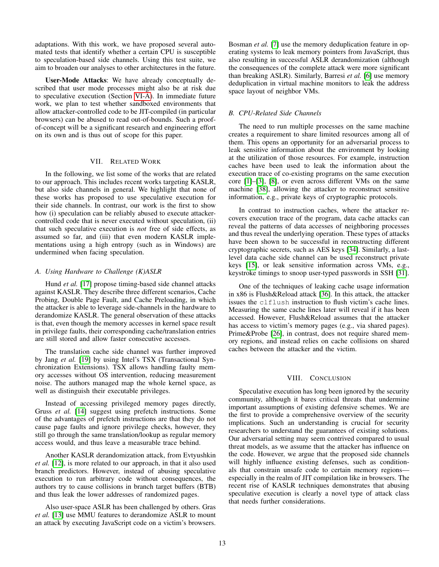adaptations. With this work, we have proposed several automated tests that identify whether a certain CPU is susceptible to speculation-based side channels. Using this test suite, we aim to broaden our analyses to other architectures in the future.

User-Mode Attacks: We have already conceptually described that user mode processes might also be at risk due to speculative execution (Section [VI-A\)](#page-10-2). In immediate future work, we plan to test whether sandboxed environments that allow attacker-controlled code to be JIT-compiled (in particular browsers) can be abused to read out-of-bounds. Such a proofof-concept will be a significant research and engineering effort on its own and is thus out of scope for this paper.

## VII. RELATED WORK

<span id="page-12-0"></span>In the following, we list some of the works that are related to our approach. This includes recent works targeting KASLR, but also side channels in general. We highlight that none of these works has proposed to use speculative execution for their side channels. In contrast, our work is the first to show how (i) speculation can be reliably abused to execute attackercontrolled code that is never executed without speculation, (ii) that such speculative execution is *not* free of side effects, as assumed so far, and (iii) that even modern KASLR implementations using a high entropy (such as in Windows) are undermined when facing speculation.

# *A. Using Hardware to Challenge (K)ASLR*

Hund *et al.* [\[17\]](#page-13-15) propose timing-based side channel attacks against KASLR. They describe three different scenarios, Cache Probing, Double Page Fault, and Cache Preloading, in which the attacker is able to leverage side-channels in the hardware to derandomize KASLR. The general observation of these attacks is that, even though the memory accesses in kernel space result in privilege faults, their corresponding cache/translation entries are still stored and allow faster consecutive accesses.

The translation cache side channel was further improved by Jang *et al.* [\[19\]](#page-13-16) by using Intel's TSX (Transactional Synchronization Extensions). TSX allows handling faulty memory accesses without OS intervention, reducing measurement noise. The authors managed map the whole kernel space, as well as distinguish their executable privileges.

Instead of accessing privileged memory pages directly, Gruss *et al.* [\[14\]](#page-13-14) suggest using prefetch instructions. Some of the advantages of prefetch instructions are that they do not cause page faults and ignore privilege checks, however, they still go through the same translation/lookup as regular memory access would, and thus leave a measurable trace behind.

Another KASLR derandomization attack, from Evtyushkin *et al.* [\[12\]](#page-13-13), is more related to our approach, in that it also used branch predictors. However, instead of abusing speculative execution to run arbitrary code without consequences, the authors try to cause collisions in branch target buffers (BTB) and thus leak the lower addresses of randomized pages.

Also user-space ASLR has been challenged by others. Gras *et al.* [\[13\]](#page-13-25) use MMU features to derandomize ASLR to mount an attack by executing JavaScript code on a victim's browsers.

Bosman *et al.* [\[7\]](#page-13-26) use the memory deduplication feature in operating systems to leak memory pointers from JavaScript, thus also resulting in successful ASLR derandomization (although the consequences of the complete attack were more significant than breaking ASLR). Similarly, Barresi *et al.* [\[6\]](#page-13-27) use memory deduplication in virtual machine monitors to leak the address space layout of neighbor VMs.

# *B. CPU-Related Side Channels*

The need to run multiple processes on the same machine creates a requirement to share limited resources among all of them. This opens an opportunity for an adversarial process to leak sensitive information about the environment by looking at the utilization of those resources. For example, instruction caches have been used to leak the information about the execution trace of co-existing programs on the same execution core [\[1\]](#page-13-28)–[\[3\]](#page-13-29), [\[8\]](#page-13-30), or even across different VMs on the same machine [\[38\]](#page-13-31), allowing the attacker to reconstruct sensitive information, e.g., private keys of cryptographic protocols.

In contrast to instruction caches, where the attacker recovers execution trace of the program, data cache attacks can reveal the patterns of data accesses of neighboring processes and thus reveal the underlying operation. These types of attacks have been shown to be successful in reconstructing different cryptographic secrets, such as AES keys [\[34\]](#page-13-32). Similarly, a lastlevel data cache side channel can be used reconstruct private keys [\[15\]](#page-13-33), or leak sensitive information across VMs, e.g., keystroke timings to snoop user-typed passwords in SSH [\[31\]](#page-13-34).

One of the techniques of leaking cache usage information in x86 is Flush&Reload attack [\[36\]](#page-13-35). In this attack, the attacker issues the clflush instruction to flush victim's cache lines. Measuring the same cache lines later will reveal if it has been accessed. However, Flush&Reload assumes that the attacker has access to victim's memory pages (e.g., via shared pages). Prime&Probe [\[26\]](#page-13-36), in contrast, does not require shared memory regions, and instead relies on cache collisions on shared caches between the attacker and the victim.

# VIII. CONCLUSION

Speculative execution has long been ignored by the security community, although it bares critical threats that undermine important assumptions of existing defensive schemes. We are the first to provide a comprehensive overview of the security implications. Such an understanding is crucial for security researchers to understand the guarantees of existing solutions. Our adversarial setting may seem contrived compared to usual threat models, as we assume that the attacker has influence on the code. However, we argue that the proposed side channels will highly influence existing defenses, such as conditionals that constrain unsafe code to certain memory regions especially in the realm of JIT compilation like in browsers. The recent rise of KASLR techniques demonstrates that abusing speculative execution is clearly a novel type of attack class that needs further considerations.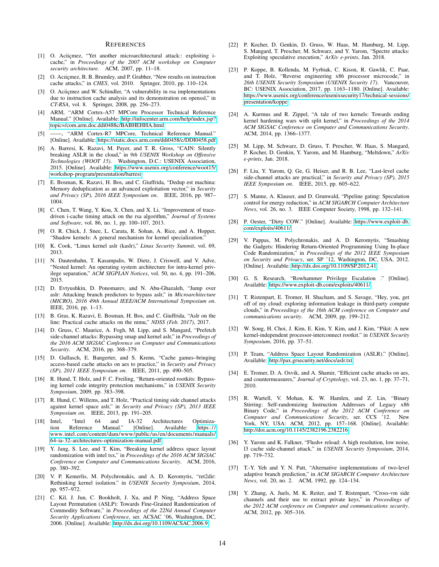#### **REFERENCES**

- <span id="page-13-28"></span>[1] O. Aciiçmez, "Yet another microarchitectural attack:: exploiting icache," in *Proceedings of the 2007 ACM workshop on Computer security architecture*. ACM, 2007, pp. 11–18.
- [2] O. Acıiçmez, B. B. Brumley, and P. Grabher, "New results on instruction cache attacks," in *CHES*, vol. 2010. Springer, 2010, pp. 110–124.
- <span id="page-13-29"></span>[3] O. Aciiçmez and W. Schindler, "A vulnerability in rsa implementations due to instruction cache analysis and its demonstration on openssl," in *CT-RSA*, vol. 8. Springer, 2008, pp. 256–273.
- <span id="page-13-24"></span>[4] ARM, "ARM Cortex-A57 MPCore Processor Technical Reference Manual." [Online]. Available: [http://infocenter.arm.com/help/index.jsp?](http://infocenter.arm.com/help/index.jsp?topic=/com.arm.doc.ddi0488c/BABHEHHA.html) [topic=/com.arm.doc.ddi0488c/BABHEHHA.html](http://infocenter.arm.com/help/index.jsp?topic=/com.arm.doc.ddi0488c/BABHEHHA.html)
- <span id="page-13-23"></span>[5] ——, "ARM Cortex-R7 MPCore, Technical Reference Manual." [Online]. Available:<https://static.docs.arm.com/ddi0458/c/DDI0458.pdf>
- <span id="page-13-27"></span>[6] A. Barresi, K. Razavi, M. Payer, and T. R. Gross, "CAIN: Silently breaking ASLR in the cloud," in *9th USENIX Workshop on Offensive Technologies (WOOT 15)*. Washington, D.C.: USENIX Association, 2015. [Online]. Available: [https://www.usenix.org/conference/woot15/](https://www.usenix.org/conference/woot15/workshop-program/presentation/barresi) [workshop-program/presentation/barresi](https://www.usenix.org/conference/woot15/workshop-program/presentation/barresi)
- <span id="page-13-26"></span>[7] E. Bosman, K. Razavi, H. Bos, and C. Giuffrida, "Dedup est machina: Memory deduplication as an advanced exploitation vector," in *Security and Privacy (SP), 2016 IEEE Symposium on*. IEEE, 2016, pp. 987– 1004.
- <span id="page-13-30"></span>[8] C. Chen, T. Wang, Y. Kou, X. Chen, and X. Li, "Improvement of tracedriven i-cache timing attack on the rsa algorithm," *Journal of Systems and Software*, vol. 86, no. 1, pp. 100–107, 2013.
- <span id="page-13-17"></span>[9] O. R. Chick, J. Snee, L. Carata, R. Sohan, A. Rice, and A. Hopper, "Shadow kernels: A general mechanism for kernel specialization."
- <span id="page-13-4"></span>[10] K. Cook, "Linux kernel aslr (kaslr)," *Linux Security Summit*, vol. 69, 2013.
- <span id="page-13-18"></span>[11] N. Dautenhahn, T. Kasampalis, W. Dietz, J. Criswell, and V. Adve, "Nested kernel: An operating system architecture for intra-kernel privilege separation," *ACM SIGPLAN Notices*, vol. 50, no. 4, pp. 191–206, 2015.
- <span id="page-13-13"></span>[12] D. Evtyushkin, D. Ponomarev, and N. Abu-Ghazaleh, "Jump over aslr: Attacking branch predictors to bypass aslr," in *Microarchitecture (MICRO), 2016 49th Annual IEEE/ACM International Symposium on*. IEEE, 2016, pp. 1–13.
- <span id="page-13-25"></span>[13] B. Gras, K. Razavi, E. Bosman, H. Bos, and C. Giuffrida, "Aslr on the line: Practical cache attacks on the mmu," *NDSS (Feb. 2017)*, 2017.
- <span id="page-13-14"></span>[14] D. Gruss, C. Maurice, A. Fogh, M. Lipp, and S. Mangard, "Prefetch side-channel attacks: Bypassing smap and kernel aslr," in *Proceedings of the 2016 ACM SIGSAC Conference on Computer and Communications Security*. ACM, 2016, pp. 368–379.
- <span id="page-13-33"></span>[15] D. Gullasch, E. Bangerter, and S. Krenn, "Cache games–bringing access-based cache attacks on aes to practice," in *Security and Privacy (SP), 2011 IEEE Symposium on*. IEEE, 2011, pp. 490–505.
- <span id="page-13-8"></span>[16] R. Hund, T. Holz, and F. C. Freiling, "Return-oriented rootkits: Bypassing kernel code integrity protection mechanisms," in *USENIX Security Symposium*, 2009, pp. 383–398.
- <span id="page-13-15"></span>[17] R. Hund, C. Willems, and T. Holz, "Practical timing side channel attacks against kernel space aslr," in *Security and Privacy (SP), 2013 IEEE Symposium on*. IEEE, 2013, pp. 191–205.
- <span id="page-13-5"></span>[18] Intel, "Intel 64 and IA-32 Architectures Optimization Reference Manual." [Online]. Available: [https ://](https://www.intel.com/content/dam/www/public/us/en/documents/manuals/64-ia-32-architectures-optimization-manual.pdf) [www.intel.com/content/dam/www/public/us/en/documents/manuals/](https://www.intel.com/content/dam/www/public/us/en/documents/manuals/64-ia-32-architectures-optimization-manual.pdf) [64-ia-32-architectures-optimization-manual.pdf](https://www.intel.com/content/dam/www/public/us/en/documents/manuals/64-ia-32-architectures-optimization-manual.pdf)
- <span id="page-13-16"></span>[19] Y. Jang, S. Lee, and T. Kim, "Breaking kernel address space layout randomization with intel tsx," in *Proceedings of the 2016 ACM SIGSAC Conference on Computer and Communications Security*. ACM, 2016, pp. 380–392.
- <span id="page-13-9"></span>[20] V. P. Kemerlis, M. Polychronakis, and A. D. Keromytis, "ret2dir: Rethinking kernel isolation." in *USENIX Security Symposium*, 2014, pp. 957–972.
- <span id="page-13-20"></span>[21] C. Kil, J. Jun, C. Bookholt, J. Xu, and P. Ning, "Address Space Layout Permutation (ASLP): Towards Fine-Grained Randomization of Commodity Software," in *Proceedings of the 22Nd Annual Computer Security Applications Conference*, ser. ACSAC '06, Washington, DC, 2006. [Online]. Available:<http://dx.doi.org/10.1109/ACSAC.2006.9>
- <span id="page-13-1"></span>[22] P. Kocher, D. Genkin, D. Gruss, W. Haas, M. Hamburg, M. Lipp, S. Mangard, T. Prescher, M. Schwarz, and Y. Yarom, "Spectre attacks: Exploiting speculative execution," *ArXiv e-prints*, Jan. 2018.
- <span id="page-13-2"></span>[23] P. Koppe, B. Kollenda, M. Fyrbiak, C. Kison, R. Gawlik, C. Paar, and T. Holz, "Reverse engineering x86 processor microcode," in *26th USENIX Security Symposium (USENIX Security 17)*. Vancouver, BC: USENIX Association, 2017, pp. 1163–1180. [Online]. Available: [https://www.usenix.org/conference/usenixsecurity17/technical-sessions/](https://www.usenix.org/conference/usenixsecurity17/technical-sessions/presentation/koppe) [presentation/koppe](https://www.usenix.org/conference/usenixsecurity17/technical-sessions/presentation/koppe)
- <span id="page-13-19"></span>[24] A. Kurmus and R. Zippel, "A tale of two kernels: Towards ending kernel hardening wars with split kernel," in *Proceedings of the 2014 ACM SIGSAC Conference on Computer and Communications Security*. ACM, 2014, pp. 1366–1377.
- <span id="page-13-0"></span>[25] M. Lipp, M. Schwarz, D. Gruss, T. Prescher, W. Haas, S. Mangard, P. Kocher, D. Genkin, Y. Yarom, and M. Hamburg, "Meltdown," *ArXiv e-prints*, Jan. 2018.
- <span id="page-13-36"></span>[26] F. Liu, Y. Yarom, Q. Ge, G. Heiser, and R. B. Lee, "Last-level cache side-channel attacks are practical," in *Security and Privacy (SP), 2015 IEEE Symposium on*. IEEE, 2015, pp. 605–622.
- <span id="page-13-3"></span>[27] S. Manne, A. Klauser, and D. Grunwald, "Pipeline gating: Speculation control for energy reduction," in *ACM SIGARCH Computer Architecture News*, vol. 26, no. 3. IEEE Computer Society, 1998, pp. 132–141.
- <span id="page-13-10"></span>[28] P. Oester, "Dirty COW." [Online]. Available: [https://www.exploit-db.](https://www.exploit-db.com/exploits/40611/) [com/exploits/40611/](https://www.exploit-db.com/exploits/40611/)
- <span id="page-13-21"></span>[29] V. Pappas, M. Polychronakis, and A. D. Keromytis, "Smashing the Gadgets: Hindering Return-Oriented Programming Using In-place Code Randomization," in *Proceedings of the 2012 IEEE Symposium on Security and Privacy*, ser. SP '12, Washington, DC, USA, 2012. [Online]. Available:<http://dx.doi.org/10.1109/SP.2012.41>
- <span id="page-13-11"></span>[30] G. S. Research, "Rowhammer Privilege Escalation ." [Online]. Available:<https://www.exploit-db.com/exploits/40611/>
- <span id="page-13-34"></span>[31] T. Ristenpart, E. Tromer, H. Shacham, and S. Savage, "Hey, you, get off of my cloud: exploring information leakage in third-party compute clouds," in *Proceedings of the 16th ACM conference on Computer and communications security*. ACM, 2009, pp. 199–212.
- <span id="page-13-12"></span>[32] W. Song, H. Choi, J. Kim, E. Kim, Y. Kim, and J. Kim, "Pikit: A new kernel-independent processor-interconnect rootkit." in *USENIX Security Symposium*, 2016, pp. 37–51.
- <span id="page-13-7"></span>[33] P. Team, "Address Space Layout Randomization (ASLR)." [Online]. Available:<http://pax.grsecurity.net/docs/aslr.txt>
- <span id="page-13-32"></span>[34] E. Tromer, D. A. Osvik, and A. Shamir, "Efficient cache attacks on aes, and countermeasures," *Journal of Cryptology*, vol. 23, no. 1, pp. 37–71, 2010.
- <span id="page-13-22"></span>[35] R. Wartell, V. Mohan, K. W. Hamlen, and Z. Lin, "Binary Stirring: Self-randomizing Instruction Addresses of Legacy x86 Binary Code," in *Proceedings of the 2012 ACM Conference on Computer and Communications Security*, ser. CCS '12. New York, NY, USA: ACM, 2012, pp. 157–168. [Online]. Available: <http://doi.acm.org/10.1145/2382196.2382216>
- <span id="page-13-35"></span>[36] Y. Yarom and K. Falkner, "Flush+ reload: A high resolution, low noise, l3 cache side-channel attack." in *USENIX Security Symposium*, 2014, pp. 719–732.
- <span id="page-13-6"></span>[37] T.-Y. Yeh and Y. N. Patt, "Alternative implementations of two-level adaptive branch prediction," in *ACM SIGARCH Computer Architecture News*, vol. 20, no. 2. ACM, 1992, pp. 124–134.
- <span id="page-13-31"></span>[38] Y. Zhang, A. Juels, M. K. Reiter, and T. Ristenpart, "Cross-vm side channels and their use to extract private keys," in *Proceedings of the 2012 ACM conference on Computer and communications security*. ACM, 2012, pp. 305–316.